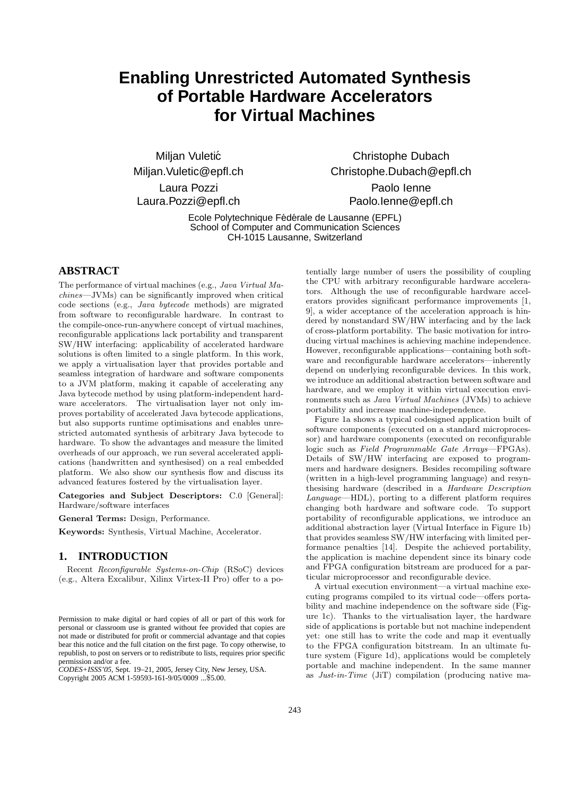# **Enabling Unrestricted Automated Synthesis of Portable Hardware Accelerators for Virtual Machines**

Miljan Vuletić Miljan.Vuletic@epfl.ch Laura Pozzi Laura.Pozzi@epfl.ch

Christophe Dubach Christophe.Dubach@epfl.ch Paolo Ienne Paolo.Ienne@epfl.ch

Ecole Polytechnique Fédérale de Lausanne (EPFL) School of Computer and Communication Sciences CH-1015 Lausanne, Switzerland

## **ABSTRACT**

The performance of virtual machines (e.g., *Java Virtual Machines*—JVMs) can be significantly improved when critical code sections (e.g., *Java bytecode* methods) are migrated from software to reconfigurable hardware. In contrast to the compile-once-run-anywhere concept of virtual machines, reconfigurable applications lack portability and transparent SW/HW interfacing: applicability of accelerated hardware solutions is often limited to a single platform. In this work, we apply a virtualisation layer that provides portable and seamless integration of hardware and software components to a JVM platform, making it capable of accelerating any Java bytecode method by using platform-independent hardware accelerators. The virtualisation layer not only improves portability of accelerated Java bytecode applications, but also supports runtime optimisations and enables unrestricted automated synthesis of arbitrary Java bytecode to hardware. To show the advantages and measure the limited overheads of our approach, we run several accelerated applications (handwritten and synthesised) on a real embedded platform. We also show our synthesis flow and discuss its advanced features fostered by the virtualisation layer.

**Categories and Subject Descriptors:** C.0 [General]: Hardware/software interfaces

**General Terms:** Design, Performance.

**Keywords:** Synthesis, Virtual Machine, Accelerator.

## **1. INTRODUCTION**

Recent *Reconfigurable Systems-on-Chip* (RSoC) devices (e.g., Altera Excalibur, Xilinx Virtex-II Pro) offer to a po-

*CODES+ISSS'05,* Sept. 19–21, 2005, Jersey City, New Jersey, USA. Copyright 2005 ACM 1-59593-161-9/05/0009 ...\$5.00.

tentially large number of users the possibility of coupling the CPU with arbitrary reconfigurable hardware accelerators. Although the use of reconfigurable hardware accelerators provides significant performance improvements [1, 9], a wider acceptance of the acceleration approach is hindered by nonstandard SW/HW interfacing and by the lack of cross-platform portability. The basic motivation for introducing virtual machines is achieving machine independence. However, reconfigurable applications—containing both software and reconfigurable hardware accelerators—inherently depend on underlying reconfigurable devices. In this work, we introduce an additional abstraction between software and hardware, and we employ it within virtual execution environments such as *Java Virtual Machines* (JVMs) to achieve portability and increase machine-independence.

Figure 1a shows a typical codesigned application built of software components (executed on a standard microprocessor) and hardware components (executed on reconfigurable logic such as *Field Programmable Gate Arrays*—FPGAs). Details of SW/HW interfacing are exposed to programmers and hardware designers. Besides recompiling software (written in a high-level programming language) and resynthesising hardware (described in a *Hardware Description Language*—HDL), porting to a different platform requires changing both hardware and software code. To support portability of reconfigurable applications, we introduce an additional abstraction layer (Virtual Interface in Figure 1b) that provides seamless SW/HW interfacing with limited performance penalties [14]. Despite the achieved portability, the application is machine dependent since its binary code and FPGA configuration bitstream are produced for a particular microprocessor and reconfigurable device.

A virtual execution environment—a virtual machine executing programs compiled to its virtual code—offers portability and machine independence on the software side (Figure 1c). Thanks to the virtualisation layer, the hardware side of applications is portable but not machine independent yet: one still has to write the code and map it eventually to the FPGA configuration bitstream. In an ultimate future system (Figure 1d), applications would be completely portable and machine independent. In the same manner as *Just-in-Time* (JiT) compilation (producing native ma-

Permission to make digital or hard copies of all or part of this work for personal or classroom use is granted without fee provided that copies are not made or distributed for profit or commercial advantage and that copies bear this notice and the full citation on the first page. To copy otherwise, to republish, to post on servers or to redistribute to lists, requires prior specific permission and/or a fee.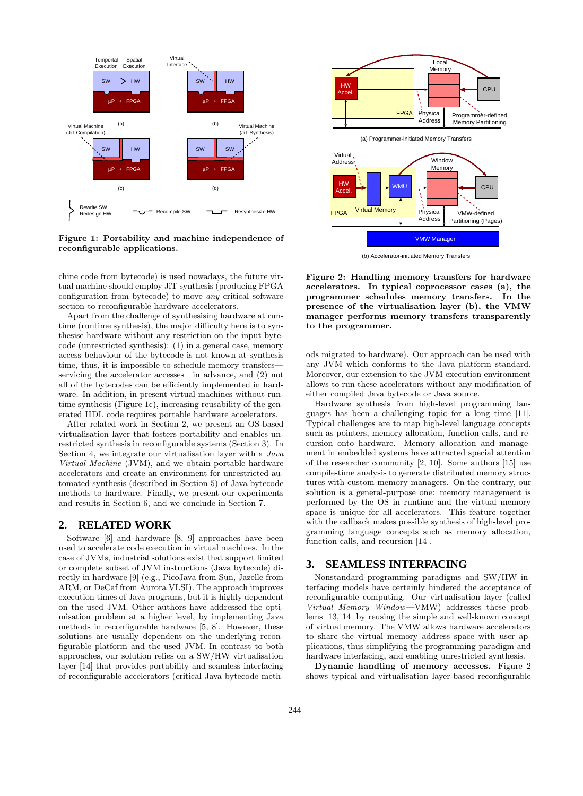

**Figure 1: Portability and machine independence of reconfigurable applications.**

chine code from bytecode) is used nowadays, the future virtual machine should employ JiT synthesis (producing FPGA configuration from bytecode) to move *any* critical software section to reconfigurable hardware accelerators.

Apart from the challenge of synthesising hardware at runtime (runtime synthesis), the major difficulty here is to synthesise hardware without any restriction on the input bytecode (unrestricted synthesis): (1) in a general case, memory access behaviour of the bytecode is not known at synthesis time, thus, it is impossible to schedule memory transfers servicing the accelerator accesses—in advance, and (2) not all of the bytecodes can be efficiently implemented in hardware. In addition, in present virtual machines without runtime synthesis (Figure 1c), increasing reusability of the generated HDL code requires portable hardware accelerators.

After related work in Section 2, we present an OS-based virtualisation layer that fosters portability and enables unrestricted synthesis in reconfigurable systems (Section 3). In Section 4, we integrate our virtualisation layer with a *Java Virtual Machine* (JVM), and we obtain portable hardware accelerators and create an environment for unrestricted automated synthesis (described in Section 5) of Java bytecode methods to hardware. Finally, we present our experiments and results in Section 6, and we conclude in Section 7.

# **2. RELATED WORK**

Software [6] and hardware [8, 9] approaches have been used to accelerate code execution in virtual machines. In the case of JVMs, industrial solutions exist that support limited or complete subset of JVM instructions (Java bytecode) directly in hardware [9] (e.g., PicoJava from Sun, Jazelle from ARM, or DeCaf from Aurora VLSI). The approach improves execution times of Java programs, but it is highly dependent on the used JVM. Other authors have addressed the optimisation problem at a higher level, by implementing Java methods in reconfigurable hardware [5, 8]. However, these solutions are usually dependent on the underlying reconfigurable platform and the used JVM. In contrast to both approaches, our solution relies on a SW/HW virtualisation layer [14] that provides portability and seamless interfacing of reconfigurable accelerators (critical Java bytecode meth-



(b) Accelerator-initiated Memory Transfers

**Figure 2: Handling memory transfers for hardware accelerators. In typical coprocessor cases (a), the programmer schedules memory transfers. In the presence of the virtualisation layer (b), the VMW manager performs memory transfers transparently to the programmer.**

ods migrated to hardware). Our approach can be used with any JVM which conforms to the Java platform standard. Moreover, our extension to the JVM execution environment allows to run these accelerators without any modification of either compiled Java bytecode or Java source.

Hardware synthesis from high-level programming languages has been a challenging topic for a long time [11]. Typical challenges are to map high-level language concepts such as pointers, memory allocation, function calls, and recursion onto hardware. Memory allocation and management in embedded systems have attracted special attention of the researcher community [2, 10]. Some authors [15] use compile-time analysis to generate distributed memory structures with custom memory managers. On the contrary, our solution is a general-purpose one: memory management is performed by the OS in runtime and the virtual memory space is unique for all accelerators. This feature together with the callback makes possible synthesis of high-level programming language concepts such as memory allocation, function calls, and recursion [14].

#### **3. SEAMLESS INTERFACING**

Nonstandard programming paradigms and SW/HW interfacing models have certainly hindered the acceptance of reconfigurable computing. Our virtualisation layer (called *Virtual Memory Window*—VMW) addresses these problems [13, 14] by reusing the simple and well-known concept of virtual memory. The VMW allows hardware accelerators to share the virtual memory address space with user applications, thus simplifying the programming paradigm and hardware interfacing, and enabling unrestricted synthesis.

**Dynamic handling of memory accesses.** Figure 2 shows typical and virtualisation layer-based reconfigurable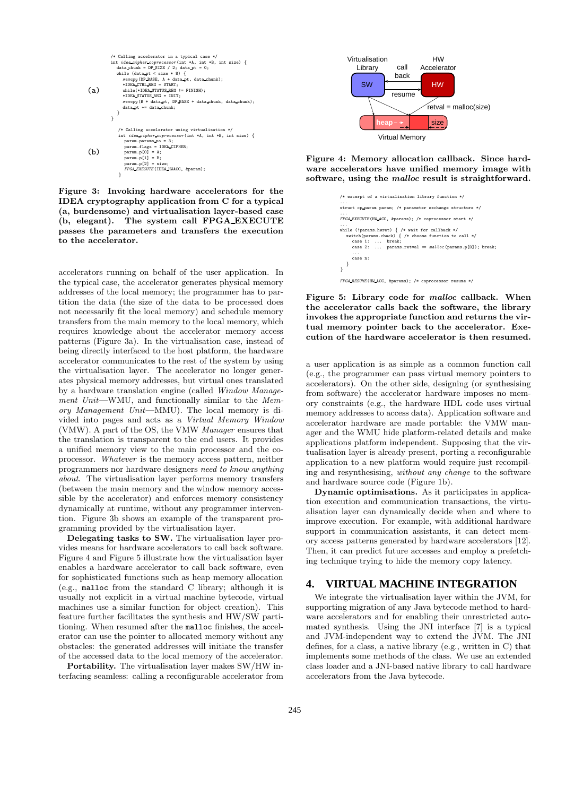(a) /\* Calling accelerator in a typical case \*/ int *idea cipher coprocessor*(int \*A, int \*B, int size) *{* data chunk = DP SIZE / 2; data pt = 0; while (data pt < size \* 8) *{ memcpy* (DP BASE, A + data pt, data chunk); \*IDEA CTRL REG = START; while(\*IDEA STATUS REG != FINISH); \*IDEA STATUS REG = INIT; *memcpy* (B + data pt, DP BASE + data chunk, data chunk); data pt += data chunk; *} }* (b) /\* Calling accelerator using virtualisation \*/ int *idea cipher coprocessor*(int \*A, int \*B, int size) *{* param.params no = 3; param.flags = IDEA CIPHER; param.p[0] = A; param.p[1] = B; param.p[2] = size; *FPGA EXECUTE* (IDEA HWACC, &param); *}*

**Figure 3: Invoking hardware accelerators for the IDEA cryptography application from C for a typical (a, burdensome) and virtualisation layer-based case (b, elegant). The system call FPGA EXECUTE passes the parameters and transfers the execution to the accelerator.**

accelerators running on behalf of the user application. In the typical case, the accelerator generates physical memory addresses of the local memory; the programmer has to partition the data (the size of the data to be processed does not necessarily fit the local memory) and schedule memory transfers from the main memory to the local memory, which requires knowledge about the accelerator memory access patterns (Figure 3a). In the virtualisation case, instead of being directly interfaced to the host platform, the hardware accelerator communicates to the rest of the system by using the virtualisation layer. The accelerator no longer generates physical memory addresses, but virtual ones translated by a hardware translation engine (called *Window Management Unit*—WMU, and functionally similar to the *Memory Management Unit*—MMU). The local memory is divided into pages and acts as a *Virtual Memory Window* (VMW). A part of the OS, the VMW *Manager* ensures that the translation is transparent to the end users. It provides a unified memory view to the main processor and the coprocessor. *Whatever* is the memory access pattern, neither programmers nor hardware designers *need to know anything about*. The virtualisation layer performs memory transfers (between the main memory and the window memory accessible by the accelerator) and enforces memory consistency dynamically at runtime, without any programmer intervention. Figure 3b shows an example of the transparent programming provided by the virtualisation layer.

**Delegating tasks to SW.** The virtualisation layer provides means for hardware accelerators to call back software. Figure 4 and Figure 5 illustrate how the virtualisation layer enables a hardware accelerator to call back software, even for sophisticated functions such as heap memory allocation (e.g., malloc from the standard C library; although it is usually not explicit in a virtual machine bytecode, virtual machines use a similar function for object creation). This feature further facilitates the synthesis and HW/SW partitioning. When resumed after the malloc finishes, the accelerator can use the pointer to allocated memory without any obstacles: the generated addresses will initiate the transfer of the accessed data to the local memory of the accelerator.

**Portability.** The virtualisation layer makes SW/HW interfacing seamless: calling a reconfigurable accelerator from



**Figure 4: Memory allocation callback. Since hardware accelerators have unified memory image with software, using the** *malloc* **result is straightforward.**



**Figure 5: Library code for** *malloc* **callback. When the accelerator calls back the software, the library invokes the appropriate function and returns the virtual memory pointer back to the accelerator. Execution of the hardware accelerator is then resumed.**

a user application is as simple as a common function call (e.g., the programmer can pass virtual memory pointers to accelerators). On the other side, designing (or synthesising from software) the accelerator hardware imposes no memory constraints (e.g., the hardware HDL code uses virtual memory addresses to access data). Application software and accelerator hardware are made portable: the VMW manager and the WMU hide platform-related details and make applications platform independent. Supposing that the virtualisation layer is already present, porting a reconfigurable application to a new platform would require just recompiling and resynthesising, *without any change* to the software and hardware source code (Figure 1b).

**Dynamic optimisations.** As it participates in application execution and communication transactions, the virtualisation layer can dynamically decide when and where to improve execution. For example, with additional hardware support in communication assistants, it can detect memory access patterns generated by hardware accelerators [12]. Then, it can predict future accesses and employ a prefetching technique trying to hide the memory copy latency.

#### **4. VIRTUAL MACHINE INTEGRATION**

We integrate the virtualisation layer within the JVM, for supporting migration of any Java bytecode method to hardware accelerators and for enabling their unrestricted automated synthesis. Using the JNI interface [7] is a typical and JVM-independent way to extend the JVM. The JNI defines, for a class, a native library (e.g., written in C) that implements some methods of the class. We use an extended class loader and a JNI-based native library to call hardware accelerators from the Java bytecode.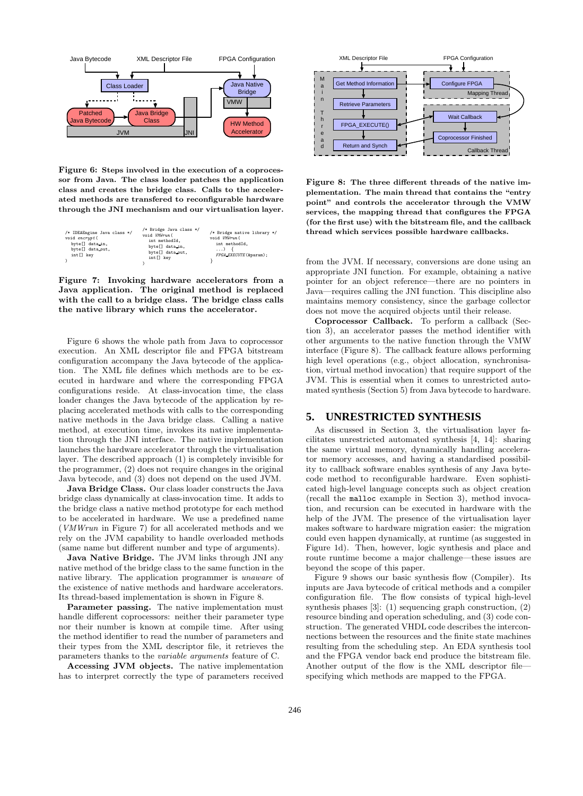

**Figure 6: Steps involved in the execution of a coprocessor from Java. The class loader patches the application class and creates the bridge class. Calls to the accelerated methods are transfered to reconfigurable hardware through the JNI mechanism and our virtualisation layer.**

| /* IDEAEngine Java class */<br>void encrypt (<br>byte[] data_in,<br>byte[] data out,<br>int[] key | /* Bridge Java class */<br>void <i>VMWrun</i> (<br>int methodId.<br>byte[] data_in,<br>byte[] data out,<br>int[] key | /* Bridge native library */<br>void VMWrun (<br>int methodId.<br>$\ldots$ ) {<br>FPGA_EXECUTE(&param); |
|---------------------------------------------------------------------------------------------------|----------------------------------------------------------------------------------------------------------------------|--------------------------------------------------------------------------------------------------------|
|---------------------------------------------------------------------------------------------------|----------------------------------------------------------------------------------------------------------------------|--------------------------------------------------------------------------------------------------------|

**Figure 7: Invoking hardware accelerators from a Java application. The original method is replaced with the call to a bridge class. The bridge class calls the native library which runs the accelerator.**

Figure 6 shows the whole path from Java to coprocessor execution. An XML descriptor file and FPGA bitstream configuration accompany the Java bytecode of the application. The XML file defines which methods are to be executed in hardware and where the corresponding FPGA configurations reside. At class-invocation time, the class loader changes the Java bytecode of the application by replacing accelerated methods with calls to the corresponding native methods in the Java bridge class. Calling a native method, at execution time, invokes its native implementation through the JNI interface. The native implementation launches the hardware accelerator through the virtualisation layer. The described approach (1) is completely invisible for the programmer, (2) does not require changes in the original Java bytecode, and (3) does not depend on the used JVM.

**Java Bridge Class.** Our class loader constructs the Java bridge class dynamically at class-invocation time. It adds to the bridge class a native method prototype for each method to be accelerated in hardware. We use a predefined name (*VMWrun* in Figure 7) for all accelerated methods and we rely on the JVM capability to handle overloaded methods (same name but different number and type of arguments).

**Java Native Bridge.** The JVM links through JNI any native method of the bridge class to the same function in the native library. The application programmer is *unaware* of the existence of native methods and hardware accelerators. Its thread-based implementation is shown in Figure 8.

**Parameter passing.** The native implementation must handle different coprocessors: neither their parameter type nor their number is known at compile time. After using the method identifier to read the number of parameters and their types from the XML descriptor file, it retrieves the parameters thanks to the *variable arguments* feature of C.

**Accessing JVM objects.** The native implementation has to interpret correctly the type of parameters received



**Figure 8: The three different threads of the native implementation. The main thread that contains the "entry point" and controls the accelerator through the VMW services, the mapping thread that configures the FPGA (for the first use) with the bitstream file, and the callback thread which services possible hardware callbacks.**

from the JVM. If necessary, conversions are done using an appropriate JNI function. For example, obtaining a native pointer for an object reference—there are no pointers in Java—requires calling the JNI function. This discipline also maintains memory consistency, since the garbage collector does not move the acquired objects until their release.

**Coprocessor Callback.** To perform a callback (Section 3), an accelerator passes the method identifier with other arguments to the native function through the VMW interface (Figure 8). The callback feature allows performing high level operations (e.g., object allocation, synchronisation, virtual method invocation) that require support of the JVM. This is essential when it comes to unrestricted automated synthesis (Section 5) from Java bytecode to hardware.

## **5. UNRESTRICTED SYNTHESIS**

As discussed in Section 3, the virtualisation layer facilitates unrestricted automated synthesis [4, 14]: sharing the same virtual memory, dynamically handling accelerator memory accesses, and having a standardised possibility to callback software enables synthesis of any Java bytecode method to reconfigurable hardware. Even sophisticated high-level language concepts such as object creation (recall the malloc example in Section 3), method invocation, and recursion can be executed in hardware with the help of the JVM. The presence of the virtualisation layer makes software to hardware migration easier: the migration could even happen dynamically, at runtime (as suggested in Figure 1d). Then, however, logic synthesis and place and route runtime become a major challenge—these issues are beyond the scope of this paper.

Figure 9 shows our basic synthesis flow (Compiler). Its inputs are Java bytecode of critical methods and a compiler configuration file. The flow consists of typical high-level synthesis phases [3]: (1) sequencing graph construction, (2) resource binding and operation scheduling, and (3) code construction. The generated VHDL code describes the interconnections between the resources and the finite state machines resulting from the scheduling step. An EDA synthesis tool and the FPGA vendor back end produce the bitstream file. Another output of the flow is the XML descriptor file specifying which methods are mapped to the FPGA.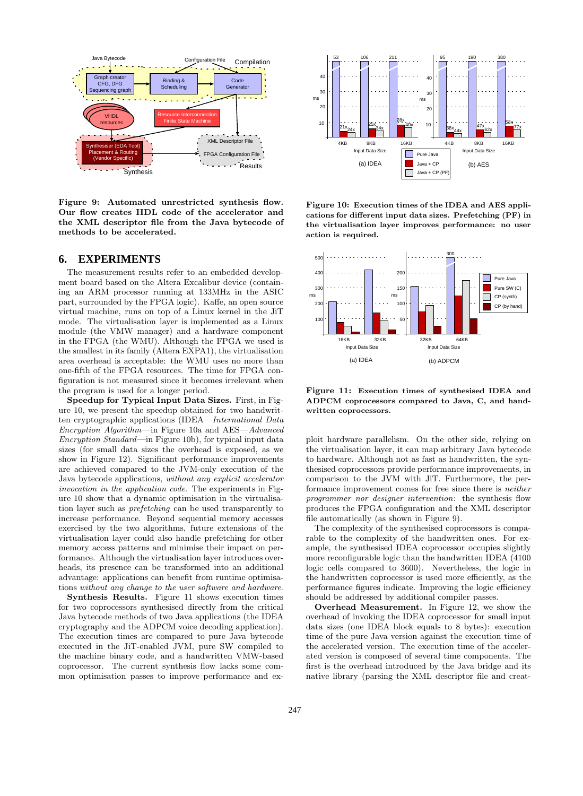

**Figure 9: Automated unrestricted synthesis flow. Our flow creates HDL code of the accelerator and the XML descriptor file from the Java bytecode of methods to be accelerated.**

#### **6. EXPERIMENTS**

The measurement results refer to an embedded development board based on the Altera Excalibur device (containing an ARM processor running at 133MHz in the ASIC part, surrounded by the FPGA logic). Kaffe, an open source virtual machine, runs on top of a Linux kernel in the JiT mode. The virtualisation layer is implemented as a Linux module (the VMW manager) and a hardware component in the FPGA (the WMU). Although the FPGA we used is the smallest in its family (Altera EXPA1), the virtualisation area overhead is acceptable: the WMU uses no more than one-fifth of the FPGA resources. The time for FPGA configuration is not measured since it becomes irrelevant when the program is used for a longer period.

**Speedup for Typical Input Data Sizes.** First, in Figure 10, we present the speedup obtained for two handwritten cryptographic applications (IDEA—*International Data Encryption Algorithm*—in Figure 10a and AES—*Advanced Encryption Standard*—in Figure 10b), for typical input data sizes (for small data sizes the overhead is exposed, as we show in Figure 12). Significant performance improvements are achieved compared to the JVM-only execution of the Java bytecode applications, *without any explicit accelerator invocation in the application code*. The experiments in Figure 10 show that a dynamic optimisation in the virtualisation layer such as *prefetching* can be used transparently to increase performance. Beyond sequential memory accesses exercised by the two algorithms, future extensions of the virtualisation layer could also handle prefetching for other memory access patterns and minimise their impact on performance. Although the virtualisation layer introduces overheads, its presence can be transformed into an additional advantage: applications can benefit from runtime optimisations *without any change to the user software and hardware*.

**Synthesis Results.** Figure 11 shows execution times for two coprocessors synthesised directly from the critical Java bytecode methods of two Java applications (the IDEA cryptography and the ADPCM voice decoding application). The execution times are compared to pure Java bytecode executed in the JiT-enabled JVM, pure SW compiled to the machine binary code, and a handwritten VMW-based coprocessor. The current synthesis flow lacks some common optimisation passes to improve performance and ex-



**Figure 10: Execution times of the IDEA and AES applications for different input data sizes. Prefetching (PF) in the virtualisation layer improves performance: no user action is required.**



**Figure 11: Execution times of synthesised IDEA and ADPCM coprocessors compared to Java, C, and handwritten coprocessors.**

ploit hardware parallelism. On the other side, relying on the virtualisation layer, it can map arbitrary Java bytecode to hardware. Although not as fast as handwritten, the synthesised coprocessors provide performance improvements, in comparison to the JVM with JiT. Furthermore, the performance improvement comes for free since there is *neither programmer nor designer intervention*: the synthesis flow produces the FPGA configuration and the XML descriptor file automatically (as shown in Figure 9).

The complexity of the synthesised coprocessors is comparable to the complexity of the handwritten ones. For example, the synthesised IDEA coprocessor occupies slightly more reconfigurable logic than the handwritten IDEA (4100 logic cells compared to 3600). Nevertheless, the logic in the handwritten coprocessor is used more efficiently, as the performance figures indicate. Improving the logic efficiency should be addressed by additional compiler passes.

**Overhead Measurement.** In Figure 12, we show the overhead of invoking the IDEA coprocessor for small input data sizes (one IDEA block equals to 8 bytes): execution time of the pure Java version against the execution time of the accelerated version. The execution time of the accelerated version is composed of several time components. The first is the overhead introduced by the Java bridge and its native library (parsing the XML descriptor file and creat-